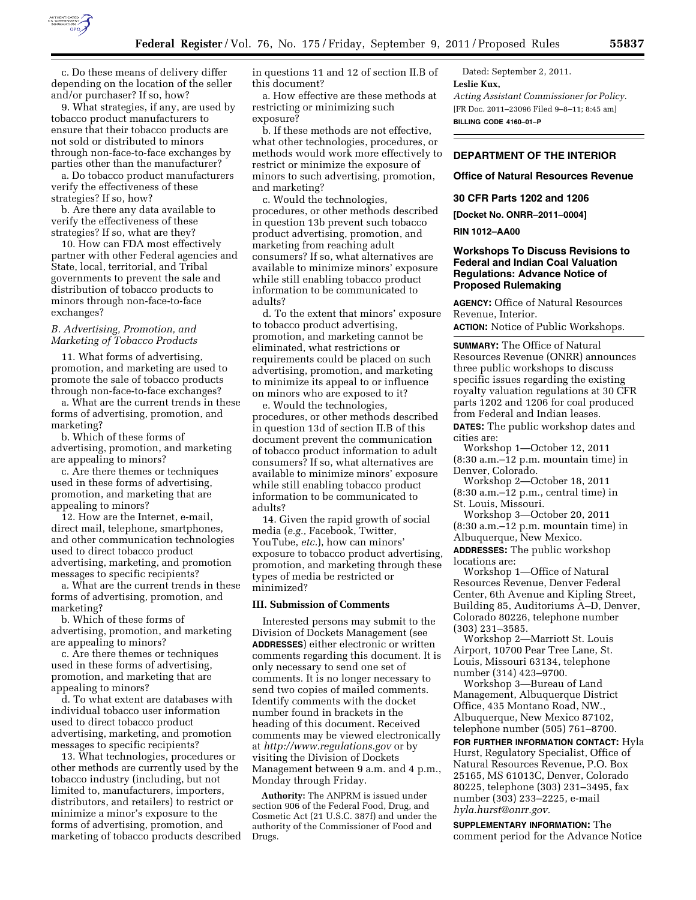

9. What strategies, if any, are used by tobacco product manufacturers to ensure that their tobacco products are not sold or distributed to minors through non-face-to-face exchanges by parties other than the manufacturer?

a. Do tobacco product manufacturers verify the effectiveness of these strategies? If so, how?

b. Are there any data available to verify the effectiveness of these strategies? If so, what are they?

10. How can FDA most effectively partner with other Federal agencies and State, local, territorial, and Tribal governments to prevent the sale and distribution of tobacco products to minors through non-face-to-face exchanges?

## *B. Advertising, Promotion, and Marketing of Tobacco Products*

11. What forms of advertising, promotion, and marketing are used to promote the sale of tobacco products through non-face-to-face exchanges?

a. What are the current trends in these forms of advertising, promotion, and marketing?

b. Which of these forms of advertising, promotion, and marketing are appealing to minors?

c. Are there themes or techniques used in these forms of advertising, promotion, and marketing that are appealing to minors?

12. How are the Internet, e-mail, direct mail, telephone, smartphones, and other communication technologies used to direct tobacco product advertising, marketing, and promotion messages to specific recipients?

a. What are the current trends in these forms of advertising, promotion, and marketing?

b. Which of these forms of advertising, promotion, and marketing are appealing to minors?

c. Are there themes or techniques used in these forms of advertising, promotion, and marketing that are appealing to minors?

d. To what extent are databases with individual tobacco user information used to direct tobacco product advertising, marketing, and promotion messages to specific recipients?

13. What technologies, procedures or other methods are currently used by the tobacco industry (including, but not limited to, manufacturers, importers, distributors, and retailers) to restrict or minimize a minor's exposure to the forms of advertising, promotion, and marketing of tobacco products described in questions 11 and 12 of section II.B of this document?

a. How effective are these methods at restricting or minimizing such exposure?

b. If these methods are not effective, what other technologies, procedures, or methods would work more effectively to restrict or minimize the exposure of minors to such advertising, promotion, and marketing?

c. Would the technologies, procedures, or other methods described in question 13b prevent such tobacco product advertising, promotion, and marketing from reaching adult consumers? If so, what alternatives are available to minimize minors' exposure while still enabling tobacco product information to be communicated to adults?

d. To the extent that minors' exposure to tobacco product advertising, promotion, and marketing cannot be eliminated, what restrictions or requirements could be placed on such advertising, promotion, and marketing to minimize its appeal to or influence on minors who are exposed to it?

e. Would the technologies, procedures, or other methods described in question 13d of section II.B of this document prevent the communication of tobacco product information to adult consumers? If so, what alternatives are available to minimize minors' exposure while still enabling tobacco product information to be communicated to adults?

14. Given the rapid growth of social media (*e.g.,* Facebook, Twitter, YouTube, *etc.*), how can minors' exposure to tobacco product advertising, promotion, and marketing through these types of media be restricted or minimized?

#### **III. Submission of Comments**

Interested persons may submit to the Division of Dockets Management (see **ADDRESSES**) either electronic or written comments regarding this document. It is only necessary to send one set of comments. It is no longer necessary to send two copies of mailed comments. Identify comments with the docket number found in brackets in the heading of this document. Received comments may be viewed electronically at *<http://www.regulations.gov>* or by visiting the Division of Dockets Management between 9 a.m. and 4 p.m., Monday through Friday.

**Authority:** The ANPRM is issued under section 906 of the Federal Food, Drug, and Cosmetic Act (21 U.S.C. 387f) and under the authority of the Commissioner of Food and Drugs.

Dated: September 2, 2011. **Leslie Kux,**  *Acting Assistant Commissioner for Policy.*  [FR Doc. 2011–23096 Filed 9–8–11; 8:45 am]

**BILLING CODE 4160–01–P** 

# **DEPARTMENT OF THE INTERIOR**

### **Office of Natural Resources Revenue**

## **30 CFR Parts 1202 and 1206**

**[Docket No. ONRR–2011–0004]** 

## **RIN 1012–AA00**

# **Workshops To Discuss Revisions to Federal and Indian Coal Valuation Regulations: Advance Notice of Proposed Rulemaking**

**AGENCY:** Office of Natural Resources Revenue, Interior.

**ACTION:** Notice of Public Workshops.

**SUMMARY:** The Office of Natural Resources Revenue (ONRR) announces three public workshops to discuss specific issues regarding the existing royalty valuation regulations at 30 CFR parts 1202 and 1206 for coal produced from Federal and Indian leases.

**DATES:** The public workshop dates and cities are:

Workshop 1—October 12, 2011 (8:30 a.m.–12 p.m. mountain time) in Denver, Colorado.

Workshop 2—October 18, 2011 (8:30 a.m.–12 p.m., central time) in St. Louis, Missouri.

Workshop 3—October 20, 2011 (8:30 a.m.–12 p.m. mountain time) in Albuquerque, New Mexico.

**ADDRESSES:** The public workshop locations are:

Workshop 1—Office of Natural Resources Revenue, Denver Federal Center, 6th Avenue and Kipling Street, Building 85, Auditoriums A–D, Denver, Colorado 80226, telephone number (303) 231–3585.

Workshop 2—Marriott St. Louis Airport, 10700 Pear Tree Lane, St. Louis, Missouri 63134, telephone number (314) 423–9700.

Workshop 3—Bureau of Land Management, Albuquerque District Office, 435 Montano Road, NW., Albuquerque, New Mexico 87102, telephone number (505) 761–8700.

**FOR FURTHER INFORMATION CONTACT:** Hyla Hurst, Regulatory Specialist, Office of Natural Resources Revenue, P.O. Box 25165, MS 61013C, Denver, Colorado 80225, telephone (303) 231–3495, fax number (303) 233–2225, e-mail *[hyla.hurst@onrr.gov.](mailto:hyla.hurst@onrr.gov)* 

**SUPPLEMENTARY INFORMATION:** The comment period for the Advance Notice